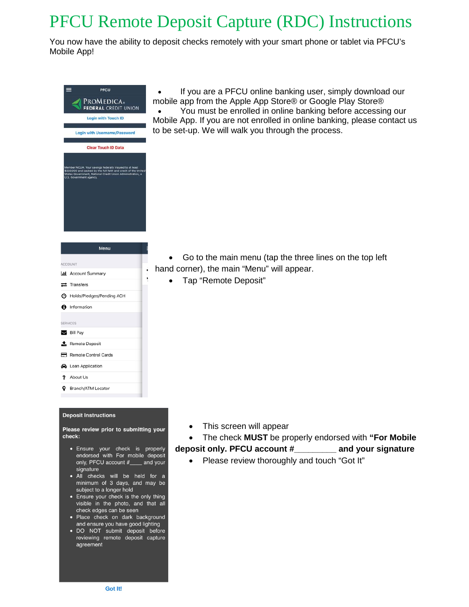## PFCU Remote Deposit Capture (RDC) Instructions

You now have the ability to deposit checks remotely with your smart phone or tablet via PFCU's Mobile App!



## **Deposit Instructions**

Please review prior to submitting your check:

- · Ensure your check is properly endorsed with For mobile deposit only, PFCU account #\_\_\_\_ and your signature
- · All checks will be held for a minimum of 3 days, and may be subject to a longer hold
- Ensure your check is the only thing visible in the photo, and that all check edges can be seen
- · Place check on dark background and ensure you have good lighting
- · DO NOT submit deposit before reviewing remote deposit capture agreement

If you are a PFCU online banking user, simply download our mobile app from the Apple App Store® or Google Play Store®

• You must be enrolled in online banking before accessing our Mobile App. If you are not enrolled in online banking, please contact us to be set-up. We will walk you through the process.

- Go to the main menu (tap the three lines on the top left hand corner), the main "Menu" will appear.
	- Tap "Remote Deposit"

- This screen will appear
- The check **MUST** be properly endorsed with **"For Mobile**
- **deposit only. PFCU account #\_\_\_\_\_\_\_\_\_ and your signature**
	- Please review thoroughly and touch "Got It"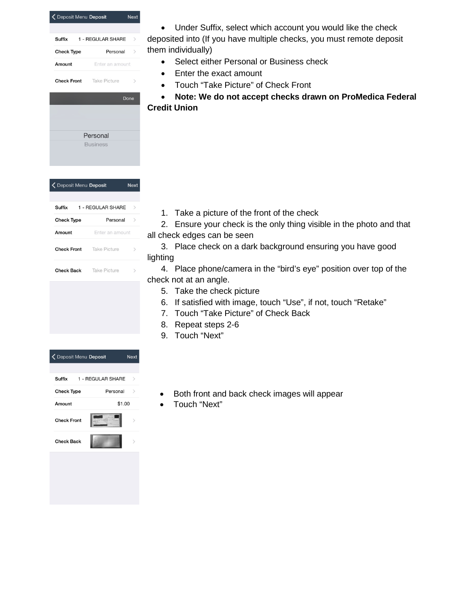| <b>く</b> Deposit Menu Deposit<br><b>Next</b> |          |      |  |
|----------------------------------------------|----------|------|--|
|                                              |          |      |  |
| 1 - REGULAR SHARE<br>Suffix<br>$\mathcal{P}$ |          |      |  |
| <b>Check Type</b>                            | Personal | >    |  |
| Amount<br>Enter an amount                    |          |      |  |
| <b>Check Front</b> Take Picture              |          |      |  |
|                                              |          | Done |  |
|                                              |          |      |  |
|                                              |          |      |  |
| Personal                                     |          |      |  |
| <b>Business</b>                              |          |      |  |

く Deposit Menu Deposit **Next** Suffix 1 - REGULAR SHARE  $\rightarrow$ **Check Type** Personal  $\rightarrow$ Amount Enter an amount **Check Front** Take Picture **Check Back** Take Picture

• Under Suffix, select which account you would like the check deposited into (If you have multiple checks, you must remote deposit

them individually)

- Select either Personal or Business check
- Enter the exact amount
- Touch "Take Picture" of Check Front

• **Note: We do not accept checks drawn on ProMedica Federal Credit Union**

1. Take a picture of the front of the check

2. Ensure your check is the only thing visible in the photo and that all check edges can be seen

- 3. Place check on a dark background ensuring you have good lighting
- 4. Place phone/camera in the "bird's eye" position over top of the check not at an angle.
	- 5. Take the check picture
	- 6. If satisfied with image, touch "Use", if not, touch "Retake"
	- 7. Touch "Take Picture" of Check Back
	- 8. Repeat steps 2-6
	- 9. Touch "Next"

| 1 - REGULAR SHARE<br>Suffix<br>$\mathcal{E}$<br>Personal<br><b>Check Type</b><br>$\mathcal{E}$<br>\$1.00<br>Amount<br><b>Check Front</b><br><b>Check Back</b> | $\zeta$ Deposit Menu Deposit |  | <b>Next</b> |
|---------------------------------------------------------------------------------------------------------------------------------------------------------------|------------------------------|--|-------------|
|                                                                                                                                                               |                              |  |             |
|                                                                                                                                                               |                              |  |             |
|                                                                                                                                                               |                              |  |             |
|                                                                                                                                                               |                              |  |             |
|                                                                                                                                                               |                              |  |             |
|                                                                                                                                                               |                              |  |             |
|                                                                                                                                                               |                              |  |             |
|                                                                                                                                                               |                              |  |             |

- Both front and back check images will appear
- Touch "Next"